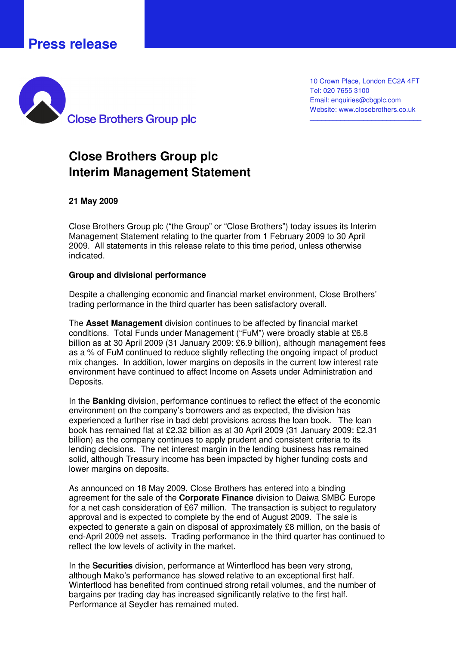# **Press release**



10 Crown Place, London EC2A 4FT Tel: 020 7655 3100 Email: enquiries@cbgplc.com Website: www.closebrothers.co.uk

\_\_\_\_\_\_\_\_\_\_\_\_\_\_\_\_\_\_\_\_\_\_\_\_\_\_\_\_\_

## **Close Brothers Group plc Interim Management Statement**

## **21 May 2009**

Close Brothers Group plc ("the Group" or "Close Brothers") today issues its Interim Management Statement relating to the quarter from 1 February 2009 to 30 April 2009. All statements in this release relate to this time period, unless otherwise indicated.

#### **Group and divisional performance**

Despite a challenging economic and financial market environment, Close Brothers' trading performance in the third quarter has been satisfactory overall.

The **Asset Management** division continues to be affected by financial market conditions. Total Funds under Management ("FuM") were broadly stable at £6.8 billion as at 30 April 2009 (31 January 2009: £6.9 billion), although management fees as a % of FuM continued to reduce slightly reflecting the ongoing impact of product mix changes. In addition, lower margins on deposits in the current low interest rate environment have continued to affect Income on Assets under Administration and Deposits.

In the **Banking** division, performance continues to reflect the effect of the economic environment on the company's borrowers and as expected, the division has experienced a further rise in bad debt provisions across the loan book. The loan book has remained flat at £2.32 billion as at 30 April 2009 (31 January 2009: £2.31 billion) as the company continues to apply prudent and consistent criteria to its lending decisions. The net interest margin in the lending business has remained solid, although Treasury income has been impacted by higher funding costs and lower margins on deposits.

As announced on 18 May 2009, Close Brothers has entered into a binding agreement for the sale of the **Corporate Finance** division to Daiwa SMBC Europe for a net cash consideration of £67 million. The transaction is subject to regulatory approval and is expected to complete by the end of August 2009. The sale is expected to generate a gain on disposal of approximately £8 million, on the basis of end-April 2009 net assets. Trading performance in the third quarter has continued to reflect the low levels of activity in the market.

In the **Securities** division, performance at Winterflood has been very strong, although Mako's performance has slowed relative to an exceptional first half. Winterflood has benefited from continued strong retail volumes, and the number of bargains per trading day has increased significantly relative to the first half. Performance at Seydler has remained muted.